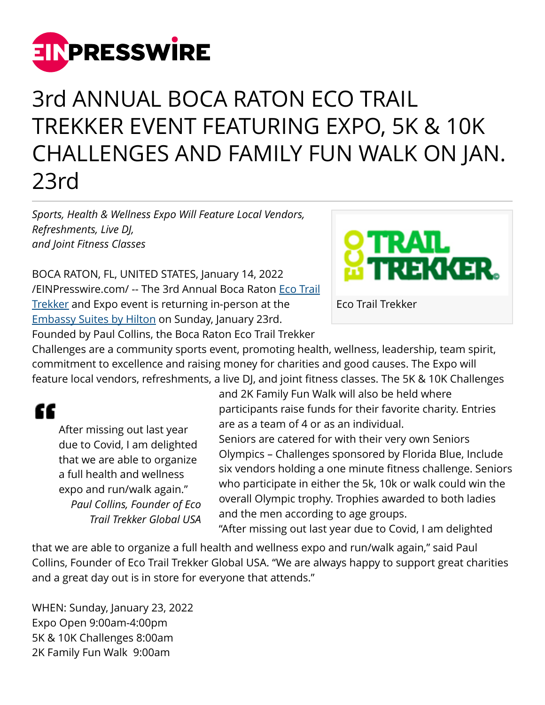

## 3rd ANNUAL BOCA RATON ECO TRAIL TREKKER EVENT FEATURING EXPO, 5K & 10K CHALLENGES AND FAMILY FUN WALK ON JAN. 23rd

*Sports, Health & Wellness Expo Will Feature Local Vendors, Refreshments, Live DJ, and Joint Fitness Classes*

BOCA RATON, FL, UNITED STATES, January 14, 2022 [/EINPresswire.com/](http://www.einpresswire.com) -- The 3rd Annual Boca Raton [Eco Trail](https://www.ecotrailtrekker.com/) [Trekker](https://www.ecotrailtrekker.com/) and Expo event is returning in-person at the [Embassy Suites by Hilton](https://www.hilton.com/en/hotels/bctnwes-embassy-suites-boca-raton/?SEO_id=GMB-ES-BCTNWES) on Sunday, January 23rd. Founded by Paul Collins, the Boca Raton Eco Trail Trekker



Eco Trail Trekker

Challenges are a community sports event, promoting health, wellness, leadership, team spirit, commitment to excellence and raising money for charities and good causes. The Expo will feature local vendors, refreshments, a live DJ, and joint fitness classes. The 5K & 10K Challenges

££

After missing out last year due to Covid, I am delighted that we are able to organize a full health and wellness expo and run/walk again." *Paul Collins, Founder of Eco Trail Trekker Global USA* and 2K Family Fun Walk will also be held where participants raise funds for their favorite charity. Entries are as a team of 4 or as an individual.

Seniors are catered for with their very own Seniors Olympics – Challenges sponsored by Florida Blue, Include six vendors holding a one minute fitness challenge. Seniors who participate in either the 5k, 10k or walk could win the overall Olympic trophy. Trophies awarded to both ladies and the men according to age groups.

"After missing out last year due to Covid, I am delighted

that we are able to organize a full health and wellness expo and run/walk again," said Paul Collins, Founder of Eco Trail Trekker Global USA. "We are always happy to support great charities and a great day out is in store for everyone that attends."

WHEN: Sunday, January 23, 2022 Expo Open 9:00am-4:00pm 5K & 10K Challenges 8:00am 2K Family Fun Walk 9:00am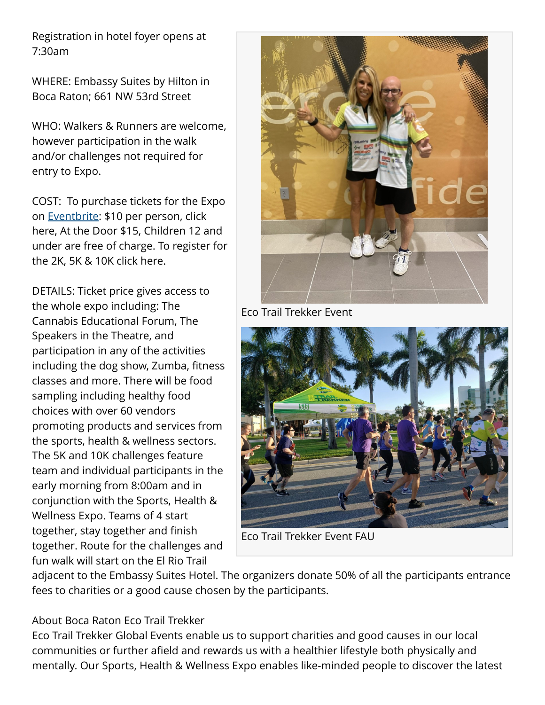Registration in hotel foyer opens at 7:30am

WHERE: Embassy Suites by Hilton in Boca Raton; 661 NW 53rd Street

WHO: Walkers & Runners are welcome, however participation in the walk and/or challenges not required for entry to Expo.

COST: To purchase tickets for the Expo on [Eventbrite:](https://www.eventbrite.com/e/3rd-annual-raton-eco-trail-trekker-sports-health-wellness-expo-tickets-159132067297) \$10 per person, click here, At the Door \$15, Children 12 and under are free of charge. To register for the 2K, 5K & 10K click here.

DETAILS: Ticket price gives access to the whole expo including: The Cannabis Educational Forum, The Speakers in the Theatre, and participation in any of the activities including the dog show, Zumba, fitness classes and more. There will be food sampling including healthy food choices with over 60 vendors promoting products and services from the sports, health & wellness sectors. The 5K and 10K challenges feature team and individual participants in the early morning from 8:00am and in conjunction with the Sports, Health & Wellness Expo. Teams of 4 start together, stay together and finish together. Route for the challenges and fun walk will start on the El Rio Trail



Eco Trail Trekker Event



Eco Trail Trekker Event FAU

adjacent to the Embassy Suites Hotel. The organizers donate 50% of all the participants entrance fees to charities or a good cause chosen by the participants.

## About Boca Raton Eco Trail Trekker

Eco Trail Trekker Global Events enable us to support charities and good causes in our local communities or further afield and rewards us with a healthier lifestyle both physically and mentally. Our Sports, Health & Wellness Expo enables like-minded people to discover the latest